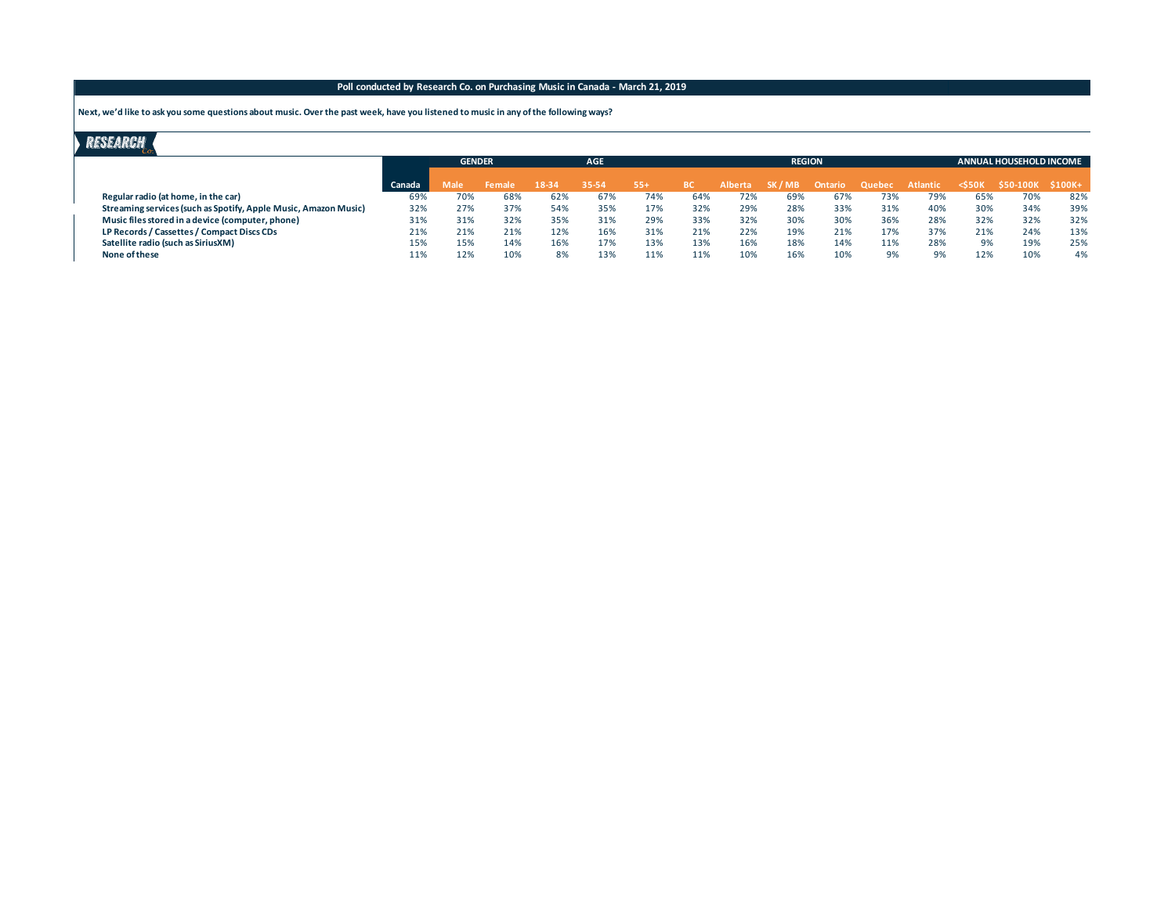#### **Poll conducted by Research Co. on Purchasing Music in Canada - March 21, 2019**

 **Next, we'd like to ask you some questions about music. Over the past week, have you listened to music in any of the following ways?**

## **RESEARCH**

|                                                                 |        | <b>GENDER</b> |        | <b>AGE</b> |       |       | <b>REGION</b> |         |         |         |        |          | <b>ANNUAL HOUSEHOLD INCOME</b> |                 |          |
|-----------------------------------------------------------------|--------|---------------|--------|------------|-------|-------|---------------|---------|---------|---------|--------|----------|--------------------------------|-----------------|----------|
|                                                                 | Canada | Male          | Female | 18-34      | 35-54 | $55+$ | <b>BC</b>     | Alberta | SK / MB | Ontario | Quebec | Atlantic | $<$ \$50 $K$                   | <b>S50-100K</b> | $$100K+$ |
| Regular radio (at home, in the car)                             | 69%    | 70%           | 68%    | 62%        | 67%   | 74%   | 64%           | 72%     | 69%     | 67%     | 73%    | 79%      | 65%                            | 70%             | 82%      |
| Streaming services (such as Spotify, Apple Music, Amazon Music) | 32%    | 27%           | 37%    | 54%        | 35%   | 17%   | 32%           | 29%     | 28%     | 33%     | 31%    | 40%      | 30%                            | 34%             | 39%      |
| Music files stored in a device (computer, phone)                | 31%    | 31%           | 32%    | 35%        | 31%   | 29%   | 33%           | 32%     | 30%     | 30%     | 36%    | 28%      | 32%                            | 32%             | 32%      |
| LP Records / Cassettes / Compact Discs CDs                      | 21%    | 21%           | 21%    | 12%        | 16%   | 31%   | 21%           | 22%     | 19%     | 21%     | 17%    | 37%      | 21%                            | 24%             | 13%      |
| Satellite radio (such as SiriusXM)                              | 15%    | 15%           | 14%    | 16%        | 17%   | 13%   | 13%           | 16%     | 18%     | 14%     | 11%    | 28%      | 9%                             | 19%             | 25%      |
| None of these                                                   | 11%    | 12%           | 10%    | 8%         | 13%   | 11%   | 11%           | 10%     | 16%     | 10%     | 9%     | 9%       | 12%                            | 10%             | 4%       |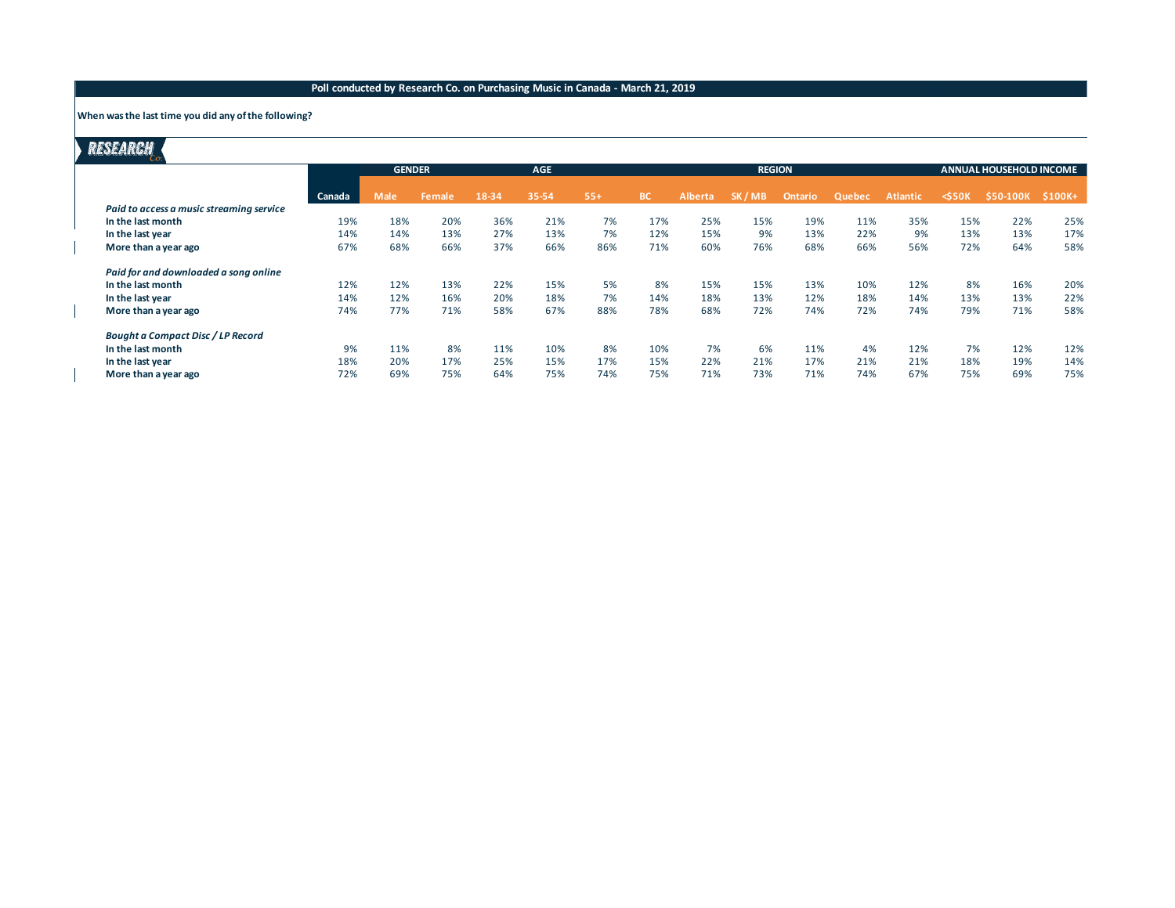## **Poll conducted by Research Co. on Purchasing Music in Canada - March 21, 2019**

#### **When was the last time you did any of the following?**

# **RESEARCH**

|                                          |        | <b>GENDER</b> |        | <b>AGE</b> |       | <b>REGION</b> |           |                |       |         |        | ANNUAL HOUSEHOLD INCOME |             |           |          |
|------------------------------------------|--------|---------------|--------|------------|-------|---------------|-----------|----------------|-------|---------|--------|-------------------------|-------------|-----------|----------|
|                                          | Canada | <b>Male</b>   | Female | 18-34      | 35-54 | $55+$         | <b>BC</b> | <b>Alberta</b> | SK/MB | Ontario | Quebec | <b>Atlantic</b>         | $<$ 550 $K$ | \$50-100K | $$100K+$ |
| Paid to access a music streaming service |        |               |        |            |       |               |           |                |       |         |        |                         |             |           |          |
| In the last month                        | 19%    | 18%           | 20%    | 36%        | 21%   | 7%            | 17%       | 25%            | 15%   | 19%     | 11%    | 35%                     | 15%         | 22%       | 25%      |
| In the last year                         | 14%    | 14%           | 13%    | 27%        | 13%   | 7%            | 12%       | 15%            | 9%    | 13%     | 22%    | 9%                      | 13%         | 13%       | 17%      |
| More than a year ago                     | 67%    | 68%           | 66%    | 37%        | 66%   | 86%           | 71%       | 60%            | 76%   | 68%     | 66%    | 56%                     | 72%         | 64%       | 58%      |
| Paid for and downloaded a song online    |        |               |        |            |       |               |           |                |       |         |        |                         |             |           |          |
| In the last month                        | 12%    | 12%           | 13%    | 22%        | 15%   | 5%            | 8%        | 15%            | 15%   | 13%     | 10%    | 12%                     | 8%          | 16%       | 20%      |
| In the last year                         | 14%    | 12%           | 16%    | 20%        | 18%   | 7%            | 14%       | 18%            | 13%   | 12%     | 18%    | 14%                     | 13%         | 13%       | 22%      |
| More than a year ago                     | 74%    | 77%           | 71%    | 58%        | 67%   | 88%           | 78%       | 68%            | 72%   | 74%     | 72%    | 74%                     | 79%         | 71%       | 58%      |
| <b>Bought a Compact Disc / LP Record</b> |        |               |        |            |       |               |           |                |       |         |        |                         |             |           |          |
| In the last month                        | 9%     | 11%           | 8%     | 11%        | 10%   | 8%            | 10%       | 7%             | 6%    | 11%     | 4%     | 12%                     | 7%          | 12%       | 12%      |
| In the last year                         | 18%    | 20%           | 17%    | 25%        | 15%   | 17%           | 15%       | 22%            | 21%   | 17%     | 21%    | 21%                     | 18%         | 19%       | 14%      |
| More than a year ago                     | 72%    | 69%           | 75%    | 64%        | 75%   | 74%           | 75%       | 71%            | 73%   | 71%     | 74%    | 67%                     | 75%         | 69%       | 75%      |